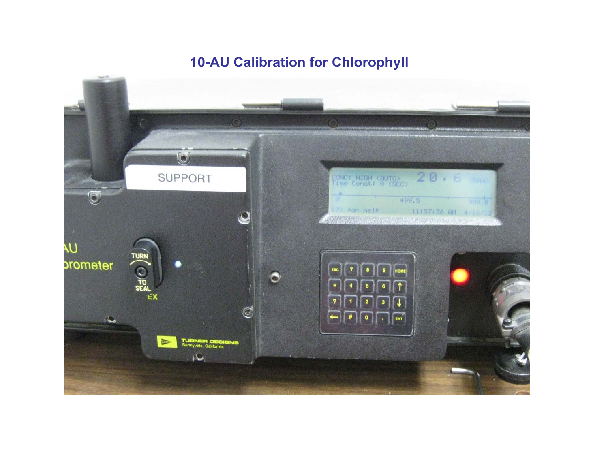## **10-AU Calibration for Chlorophyll**

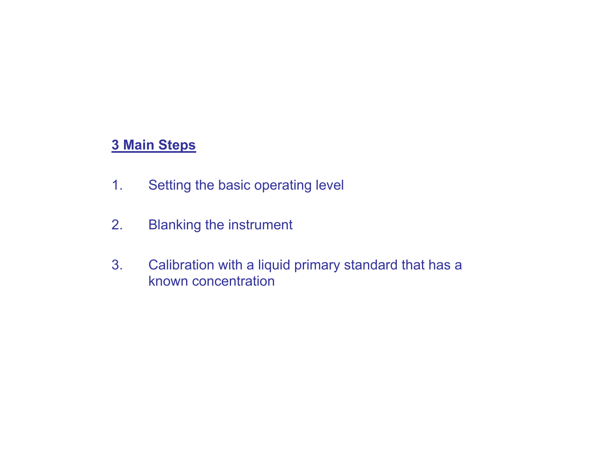## **3 Main Steps**

- 1. Setting the basic operating level
- 2. Blanking the instrument
- 3. Calibration with a liquid primary standard that has a known concentration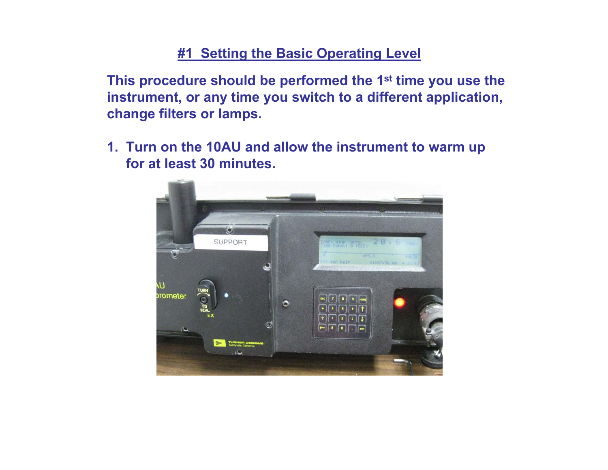## **#1 Setting the Basic Operating Level**

**This procedure should be performed the 1st time you use the instrument, or any time you switch to a different application, change filters or lamps.**

**1. Turn on the 10AU and allow the instrument to warm up for at least 30 minutes.**

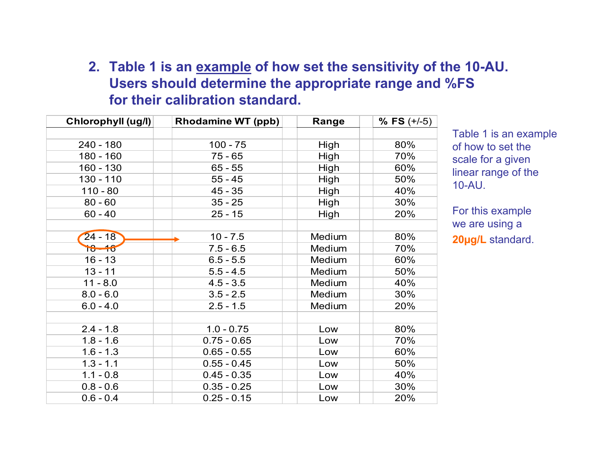## **2. Table 1 is an example of how set the sensitivity of the 10-AU. Users should determine the appropriate range and %FS for their calibration standard.**

| Chlorophyll (ug/l) | <b>Rhodamine WT (ppb)</b> | Range  | $%$ FS $(+/-5)$ |
|--------------------|---------------------------|--------|-----------------|
|                    |                           |        |                 |
| $240 - 180$        | $100 - 75$                | High   | 80%             |
| 180 - 160          | $75 - 65$                 | High   | 70%             |
| $160 - 130$        | $65 - 55$                 | High   | 60%             |
| $130 - 110$        | $55 - 45$                 | High   | 50%             |
| $110 - 80$         | $45 - 35$                 | High   | 40%             |
| $80 - 60$          | $35 - 25$                 | High   | 30%             |
| $60 - 40$          | $25 - 15$                 | High   | 20%             |
|                    |                           |        |                 |
| $24 - 18$          | $10 - 7.5$                | Medium | 80%             |
| $18 - 16$          | $7.5 - 6.5$               | Medium | 70%             |
| $16 - 13$          | $6.5 - 5.5$               | Medium | 60%             |
| $13 - 11$          | $5.5 - 4.5$               | Medium | 50%             |
| $11 - 8.0$         | $4.5 - 3.5$               | Medium | 40%             |
| $8.0 - 6.0$        | $3.5 - 2.5$               | Medium | 30%             |
| $6.0 - 4.0$        | $2.5 - 1.5$               | Medium | 20%             |
|                    |                           |        |                 |
| $2.4 - 1.8$        | $1.0 - 0.75$              | Low    | 80%             |
| $1.8 - 1.6$        | $0.75 - 0.65$             | Low    | 70%             |
| $1.6 - 1.3$        | $0.65 - 0.55$             | Low    | 60%             |
| $1.3 - 1.1$        | $0.55 - 0.45$             | Low    | 50%             |
| $1.1 - 0.8$        | $0.45 - 0.35$             | Low    | 40%             |
| $0.8 - 0.6$        | $0.35 - 0.25$             | Low    | 30%             |
| $0.6 - 0.4$        | $0.25 - 0.15$             | Low    | 20%             |

Table 1 is an example of how to set the scale for a given linear range of the 10-AU.

For this example we are using a **20µg/L** standard.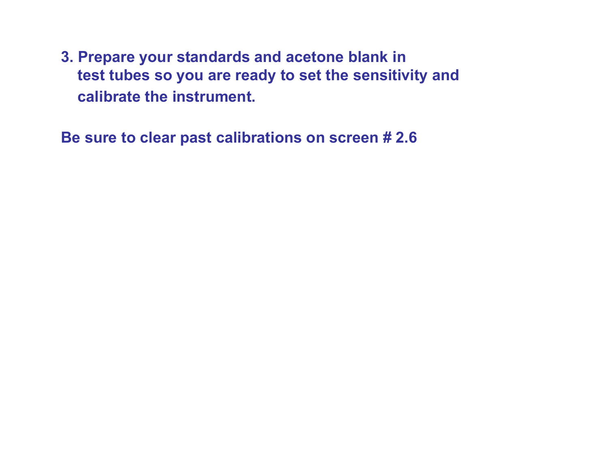**3. Prepare your standards and acetone blank in test tubes so you are ready to set the sensitivity and calibrate the instrument.**

**Be sure to clear past calibrations on screen # 2.6**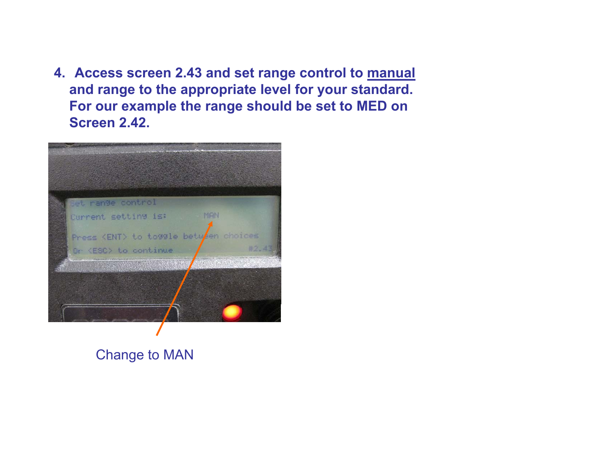**4. Access screen 2.43 and set range control to manual and range to the appropriate level for your standard. For our example the range should be set to MED on Screen 2.42.**



Change to MAN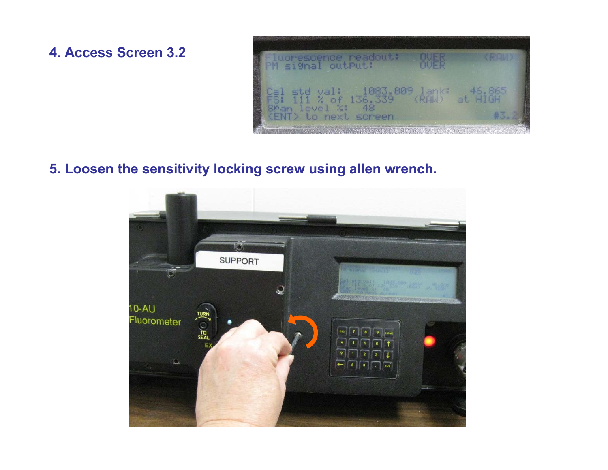**4. Access Screen 3.2**



### **5. Loosen the sensitivity locking screw using allen wrench.**

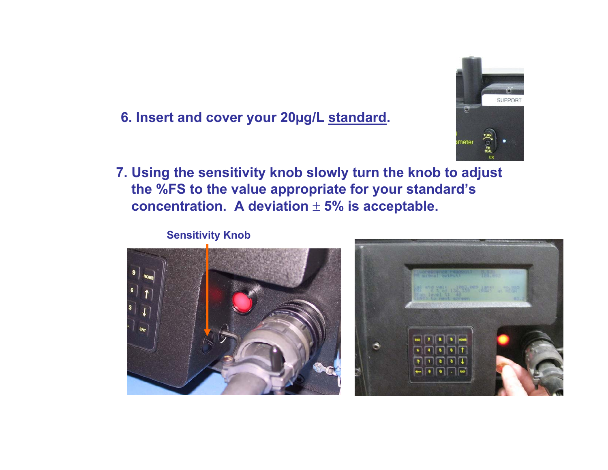

## **6. Insert and cover your 20µg/L standard.**

**7. Using the sensitivity knob slowly turn the knob to adjust the %FS to the value appropriate for your standard's concentration. A deviation**  ± **5% is acceptable.**

#### **Sensitivity Knob**



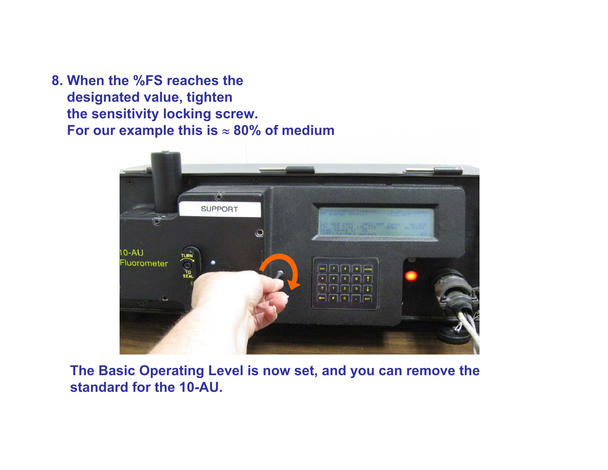**8. When the %FS reaches the designated value, tighten the sensitivity locking screw. For our example this is**  ≈ **80% of medium**



**The Basic Operating Level is now set, and you can remove the standard for the 10-AU.**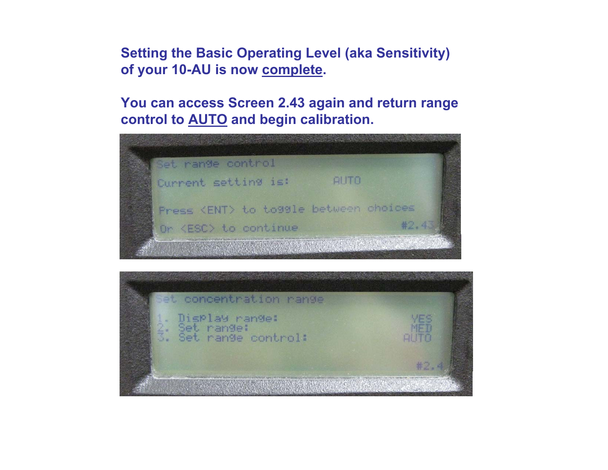**Setting the Basic Operating Level (aka Sensitivity) of your 10-AU is now complete.** 

**You can access Screen 2.43 again and return range control to AUTO and begin calibration.**

![](_page_9_Picture_2.jpeg)

![](_page_9_Picture_3.jpeg)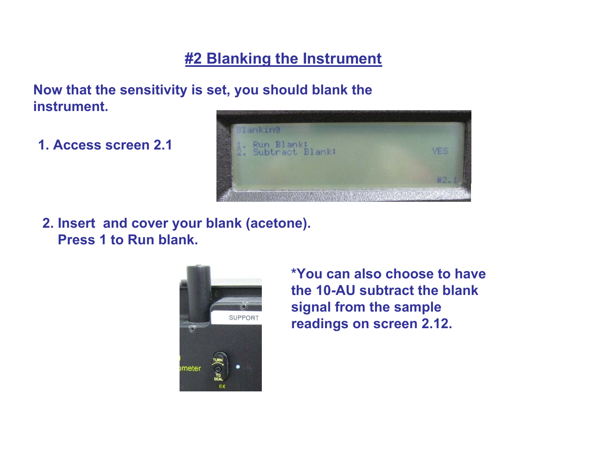## **#2 Blanking the Instrument**

### **Now that the sensitivity is set, you should blank the instrument.**

**1. Access screen 2.1**

![](_page_10_Picture_3.jpeg)

**2. Insert and cover your blank (acetone). Press 1 to Run blank.** 

![](_page_10_Picture_5.jpeg)

**\*You can also choose to have the 10-AU subtract the blank signal from the sample readings on screen 2.12.**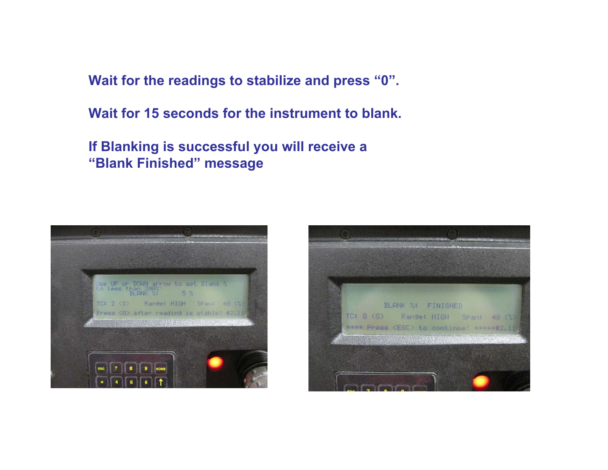**Wait for the readings to stabilize and press "0".**

**Wait for 15 seconds for the instrument to blank.**

**If Blanking is successful you will receive a "Blank Finished" message**

![](_page_11_Picture_3.jpeg)

![](_page_11_Picture_4.jpeg)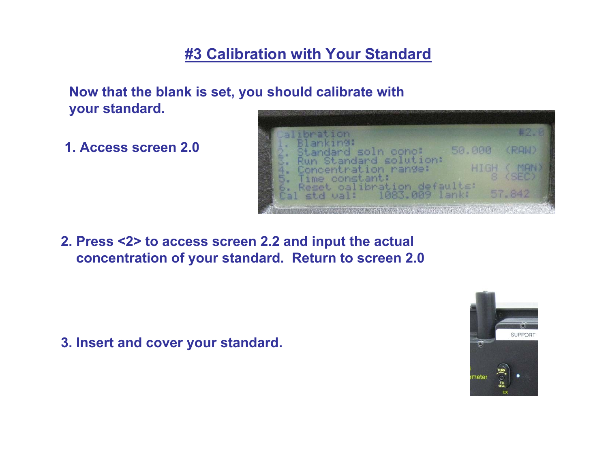# **#3 Calibration with Your Standard**

**Now that the blank is set, you should calibrate with your standard.**

**1. Access screen 2.0**

![](_page_12_Figure_3.jpeg)

**2. Press <2> to access screen 2.2 and input the actual concentration of your standard. Return to screen 2.0**

**3. Insert and cover your standard.**

![](_page_12_Picture_6.jpeg)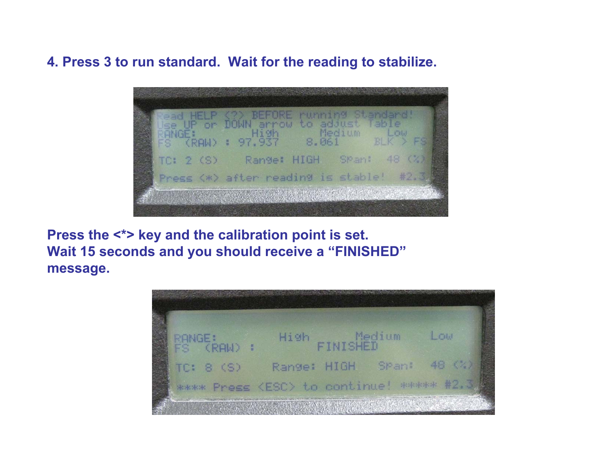**4. Press 3 to run standard. Wait for the reading to stabilize.** 

![](_page_13_Figure_1.jpeg)

**Press the <\*> key and the calibration point is set. Wait 15 seconds and you should receive a "FINISHED" message.**

![](_page_13_Picture_3.jpeg)